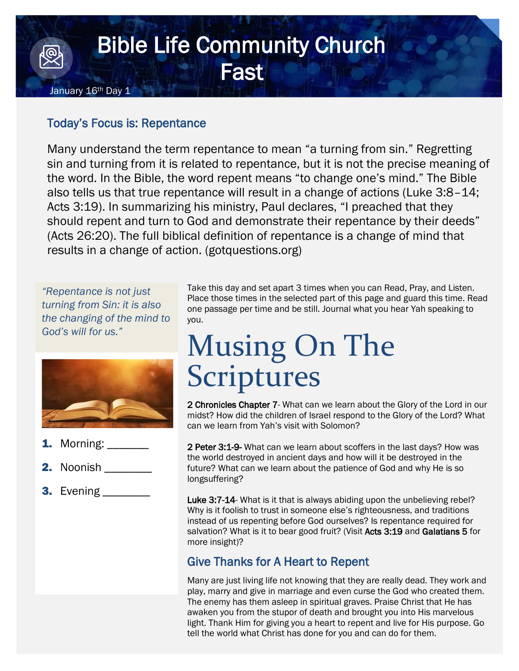### Bible Life Community Church **Fast** January 16<sup>th</sup> Day 1

#### Today's Focus is: Repentance

Many understand the term repentance to mean "a turning from sin." Regretting sin and turning from it is related to repentance, but it is not the precise meaning of the word. In the Bible, the word repent means "to change one's mind." The Bible also tells us that true repentance will result in a change of actions (Luke 3:8–14; Acts 3:19). In summarizing his ministry, Paul declares, "I preached that they should repent and turn to God and demonstrate their repentance by their deeds" (Acts 26:20). The full biblical definition of repentance is a change of mind that results in a change of action. (gotquestions.org)

*"Repentance is not just turning from Sin: it is also the changing of the mind to God's will for us."*



- Morning:
- **2.** Noonish \_\_\_\_\_\_\_\_
- 3. Evening \_\_\_\_\_\_\_\_

Take this day and set apart 3 times when you can Read, Pray, and Listen. Place those times in the selected part of this page and guard this time. Read one passage per time and be still. Journal what you hear Yah speaking to you.

# Musing On The Scriptures

2 Chronicles Chapter 7- What can we learn about the Glory of the Lord in our midst? How did the children of Israel respond to the Glory of the Lord? What can we learn from Yah's visit with Solomon?

2 Peter 3:1-9- What can we learn about scoffers in the last days? How was the world destroyed in ancient days and how will it be destroyed in the future? What can we learn about the patience of God and why He is so longsuffering?

Luke 3:7-14- What is it that is always abiding upon the unbelieving rebel? Why is it foolish to trust in someone else's righteousness, and traditions instead of us repenting before God ourselves? Is repentance required for salvation? What is it to bear good fruit? (Visit Acts 3:19 and Galatians 5 for more insight)?

### Give Thanks for A Heart to Repent

Many are just living life not knowing that they are really dead. They work and play, marry and give in marriage and even curse the God who created them. The enemy has them asleep in spiritual graves. Praise Christ that He has awaken you from the stupor of death and brought you into His marvelous light. Thank Him for giving you a heart to repent and live for His purpose. Go tell the world what Christ has done for you and can do for them.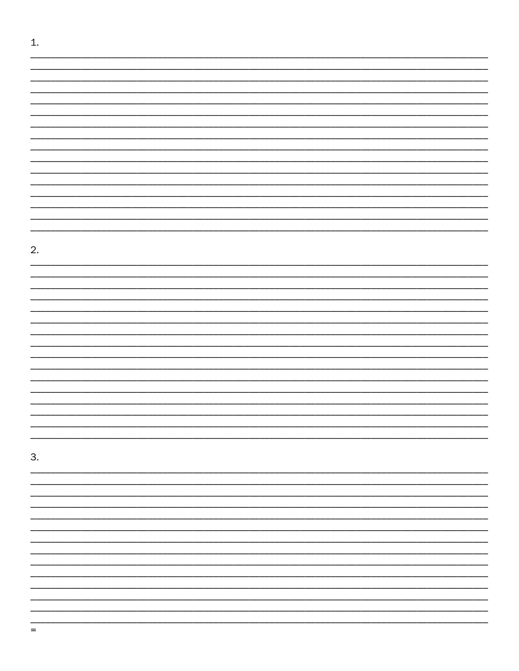| 1. |  |
|----|--|
|    |  |
|    |  |
|    |  |
|    |  |
|    |  |
|    |  |
|    |  |
|    |  |
|    |  |
|    |  |
|    |  |
|    |  |
|    |  |
|    |  |
|    |  |
|    |  |
| 2. |  |
|    |  |
|    |  |
|    |  |
|    |  |
|    |  |
|    |  |
|    |  |
|    |  |
|    |  |
|    |  |
|    |  |
|    |  |
|    |  |
|    |  |
|    |  |
| 3. |  |
|    |  |
|    |  |
|    |  |
|    |  |
|    |  |
|    |  |
|    |  |
|    |  |
|    |  |
|    |  |
|    |  |
|    |  |
|    |  |